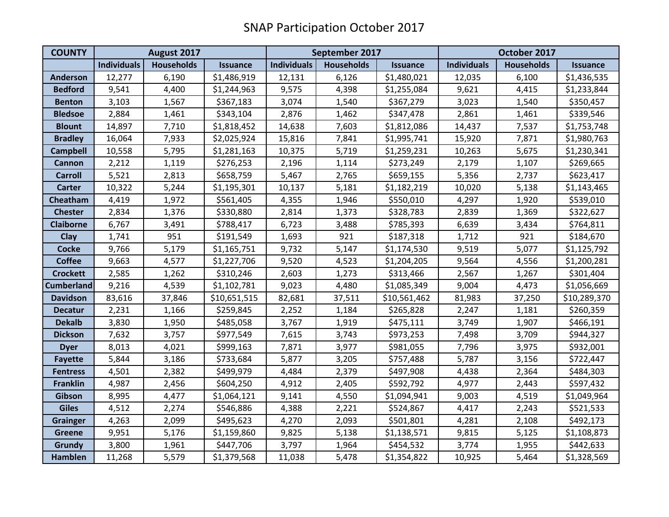| <b>COUNTY</b>     | August 2017        |                   |                 | September 2017     |                   |                 | October 2017       |                   |                 |
|-------------------|--------------------|-------------------|-----------------|--------------------|-------------------|-----------------|--------------------|-------------------|-----------------|
|                   | <b>Individuals</b> | <b>Households</b> | <b>Issuance</b> | <b>Individuals</b> | <b>Households</b> | <b>Issuance</b> | <b>Individuals</b> | <b>Households</b> | <b>Issuance</b> |
| <b>Anderson</b>   | 12,277             | 6,190             | \$1,486,919     | 12,131             | 6,126             | \$1,480,021     | 12,035             | 6,100             | \$1,436,535     |
| <b>Bedford</b>    | 9,541              | 4,400             | \$1,244,963     | 9,575              | 4,398             | \$1,255,084     | 9,621              | 4,415             | \$1,233,844     |
| <b>Benton</b>     | 3,103              | 1,567             | \$367,183       | 3,074              | 1,540             | \$367,279       | 3,023              | 1,540             | \$350,457       |
| <b>Bledsoe</b>    | 2,884              | 1,461             | \$343,104       | 2,876              | 1,462             | \$347,478       | 2,861              | 1,461             | \$339,546       |
| <b>Blount</b>     | 14,897             | 7,710             | \$1,818,452     | 14,638             | 7,603             | \$1,812,086     | 14,437             | 7,537             | \$1,753,748     |
| <b>Bradley</b>    | 16,064             | 7,933             | \$2,025,924     | 15,816             | 7,841             | \$1,995,741     | 15,920             | 7,871             | \$1,980,763     |
| <b>Campbell</b>   | 10,558             | 5,795             | \$1,281,163     | 10,375             | 5,719             | \$1,259,231     | 10,263             | 5,675             | \$1,230,341     |
| <b>Cannon</b>     | 2,212              | 1,119             | \$276,253       | 2,196              | 1,114             | \$273,249       | 2,179              | 1,107             | \$269,665       |
| <b>Carroll</b>    | 5,521              | 2,813             | \$658,759       | 5,467              | 2,765             | \$659,155       | 5,356              | 2,737             | \$623,417       |
| <b>Carter</b>     | 10,322             | 5,244             | \$1,195,301     | 10,137             | 5,181             | \$1,182,219     | 10,020             | 5,138             | \$1,143,465     |
| Cheatham          | 4,419              | 1,972             | \$561,405       | 4,355              | 1,946             | \$550,010       | 4,297              | 1,920             | \$539,010       |
| <b>Chester</b>    | 2,834              | 1,376             | \$330,880       | 2,814              | 1,373             | \$328,783       | 2,839              | 1,369             | \$322,627       |
| <b>Claiborne</b>  | 6,767              | 3,491             | \$788,417       | 6,723              | 3,488             | \$785,393       | 6,639              | 3,434             | \$764,811       |
| <b>Clay</b>       | 1,741              | 951               | \$191,549       | 1,693              | 921               | \$187,318       | 1,712              | 921               | \$184,670       |
| <b>Cocke</b>      | 9,766              | 5,179             | \$1,165,751     | 9,732              | 5,147             | \$1,174,530     | 9,519              | 5,077             | \$1,125,792     |
| <b>Coffee</b>     | 9,663              | 4,577             | \$1,227,706     | 9,520              | 4,523             | \$1,204,205     | 9,564              | 4,556             | \$1,200,281     |
| <b>Crockett</b>   | 2,585              | 1,262             | \$310,246       | 2,603              | 1,273             | \$313,466       | 2,567              | 1,267             | \$301,404       |
| <b>Cumberland</b> | 9,216              | 4,539             | \$1,102,781     | 9,023              | 4,480             | \$1,085,349     | 9,004              | 4,473             | \$1,056,669     |
| <b>Davidson</b>   | 83,616             | 37,846            | \$10,651,515    | 82,681             | 37,511            | \$10,561,462    | 81,983             | 37,250            | \$10,289,370    |
| <b>Decatur</b>    | 2,231              | 1,166             | \$259,845       | 2,252              | 1,184             | \$265,828       | 2,247              | 1,181             | \$260,359       |
| <b>Dekalb</b>     | 3,830              | 1,950             | \$485,058       | 3,767              | 1,919             | \$475,111       | 3,749              | 1,907             | \$466,191       |
| <b>Dickson</b>    | 7,632              | 3,757             | \$977,549       | 7,615              | 3,743             | \$973,253       | 7,498              | 3,709             | \$944,327       |
| <b>Dyer</b>       | 8,013              | 4,021             | \$999,163       | 7,871              | 3,977             | \$981,055       | 7,796              | 3,975             | \$932,001       |
| <b>Fayette</b>    | 5,844              | 3,186             | \$733,684       | 5,877              | 3,205             | \$757,488       | 5,787              | 3,156             | \$722,447       |
| <b>Fentress</b>   | 4,501              | 2,382             | \$499,979       | 4,484              | 2,379             | \$497,908       | 4,438              | 2,364             | \$484,303       |
| <b>Franklin</b>   | 4,987              | 2,456             | \$604,250       | 4,912              | 2,405             | \$592,792       | 4,977              | 2,443             | \$597,432       |
| Gibson            | 8,995              | 4,477             | \$1,064,121     | 9,141              | 4,550             | \$1,094,941     | 9,003              | 4,519             | \$1,049,964     |
| <b>Giles</b>      | 4,512              | 2,274             | \$546,886       | 4,388              | 2,221             | \$524,867       | 4,417              | 2,243             | \$521,533       |
| <b>Grainger</b>   | 4,263              | 2,099             | \$495,623       | 4,270              | 2,093             | \$501,801       | 4,281              | 2,108             | \$492,173       |
| <b>Greene</b>     | 9,951              | 5,176             | \$1,159,860     | 9,825              | 5,138             | \$1,138,571     | 9,815              | 5,125             | \$1,108,873     |
| Grundy            | 3,800              | 1,961             | \$447,706       | 3,797              | 1,964             | \$454,532       | 3,774              | 1,955             | \$442,633       |
| <b>Hamblen</b>    | 11,268             | 5,579             | \$1,379,568     | 11,038             | 5,478             | \$1,354,822     | 10,925             | 5,464             | \$1,328,569     |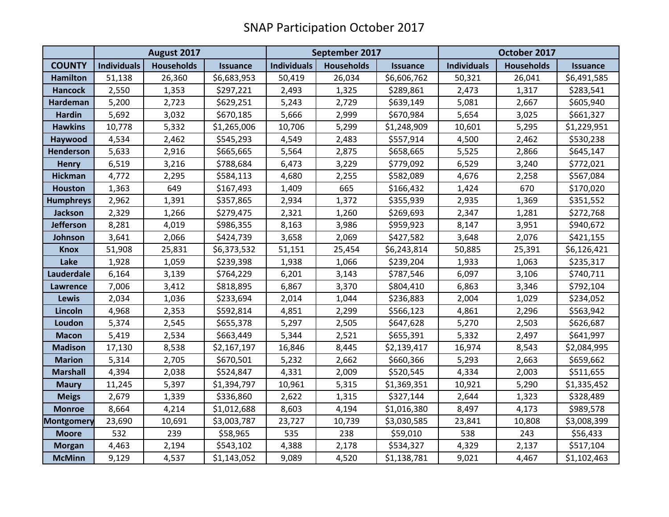|                   | August 2017        |                   |                 | September 2017     |                   |                 | October 2017       |                   |                 |
|-------------------|--------------------|-------------------|-----------------|--------------------|-------------------|-----------------|--------------------|-------------------|-----------------|
| <b>COUNTY</b>     | <b>Individuals</b> | <b>Households</b> | <b>Issuance</b> | <b>Individuals</b> | <b>Households</b> | <b>Issuance</b> | <b>Individuals</b> | <b>Households</b> | <b>Issuance</b> |
| <b>Hamilton</b>   | 51,138             | 26,360            | \$6,683,953     | 50,419             | 26,034            | \$6,606,762     | 50,321             | 26,041            | \$6,491,585     |
| <b>Hancock</b>    | 2,550              | 1,353             | \$297,221       | 2,493              | 1,325             | \$289,861       | 2,473              | 1,317             | \$283,541       |
| Hardeman          | 5,200              | 2,723             | \$629,251       | 5,243              | 2,729             | \$639,149       | 5,081              | 2,667             | \$605,940       |
| <b>Hardin</b>     | 5,692              | 3,032             | \$670,185       | 5,666              | 2,999             | \$670,984       | 5,654              | 3,025             | \$661,327       |
| <b>Hawkins</b>    | 10,778             | 5,332             | \$1,265,006     | 10,706             | 5,299             | \$1,248,909     | 10,601             | 5,295             | \$1,229,951     |
| Haywood           | 4,534              | 2,462             | \$545,293       | 4,549              | 2,483             | \$557,914       | 4,500              | 2,462             | \$530,238       |
| Henderson         | 5,633              | 2,916             | \$665,665       | 5,564              | 2,875             | \$658,665       | 5,525              | 2,866             | \$645,147       |
| <b>Henry</b>      | 6,519              | 3,216             | \$788,684       | 6,473              | 3,229             | \$779,092       | 6,529              | 3,240             | \$772,021       |
| <b>Hickman</b>    | 4,772              | 2,295             | \$584,113       | 4,680              | 2,255             | \$582,089       | 4,676              | 2,258             | \$567,084       |
| <b>Houston</b>    | 1,363              | 649               | \$167,493       | 1,409              | 665               | \$166,432       | 1,424              | 670               | \$170,020       |
| <b>Humphreys</b>  | 2,962              | 1,391             | \$357,865       | 2,934              | 1,372             | \$355,939       | 2,935              | 1,369             | \$351,552       |
| <b>Jackson</b>    | 2,329              | 1,266             | \$279,475       | 2,321              | 1,260             | \$269,693       | 2,347              | 1,281             | \$272,768       |
| Jefferson         | 8,281              | 4,019             | \$986,355       | 8,163              | 3,986             | \$959,923       | 8,147              | 3,951             | \$940,672       |
| Johnson           | 3,641              | 2,066             | \$424,739       | 3,658              | 2,069             | \$427,582       | 3,648              | 2,076             | \$421,155       |
| <b>Knox</b>       | 51,908             | 25,831            | \$6,373,532     | 51,151             | 25,454            | \$6,243,814     | 50,885             | 25,391            | \$6,126,421     |
| Lake              | 1,928              | 1,059             | \$239,398       | 1,938              | 1,066             | \$239,204       | 1,933              | 1,063             | \$235,317       |
| Lauderdale        | 6,164              | 3,139             | \$764,229       | 6,201              | 3,143             | \$787,546       | 6,097              | 3,106             | \$740,711       |
| Lawrence          | 7,006              | 3,412             | \$818,895       | 6,867              | 3,370             | \$804,410       | 6,863              | 3,346             | \$792,104       |
| Lewis             | 2,034              | 1,036             | \$233,694       | 2,014              | 1,044             | \$236,883       | 2,004              | 1,029             | \$234,052       |
| Lincoln           | 4,968              | 2,353             | \$592,814       | 4,851              | 2,299             | \$566,123       | 4,861              | 2,296             | \$563,942       |
| Loudon            | 5,374              | 2,545             | \$655,378       | 5,297              | 2,505             | \$647,628       | 5,270              | 2,503             | \$626,687       |
| <b>Macon</b>      | 5,419              | 2,534             | \$663,449       | 5,344              | 2,521             | \$655,391       | 5,332              | 2,497             | \$641,997       |
| <b>Madison</b>    | 17,130             | 8,538             | \$2,167,197     | 16,846             | 8,445             | \$2,139,417     | 16,974             | 8,543             | \$2,084,995     |
| <b>Marion</b>     | 5,314              | 2,705             | \$670,501       | 5,232              | 2,662             | \$660,366       | 5,293              | 2,663             | \$659,662       |
| <b>Marshall</b>   | 4,394              | 2,038             | \$524,847       | 4,331              | 2,009             | \$520,545       | 4,334              | 2,003             | \$511,655       |
| <b>Maury</b>      | 11,245             | 5,397             | \$1,394,797     | 10,961             | 5,315             | \$1,369,351     | 10,921             | 5,290             | \$1,335,452     |
| <b>Meigs</b>      | 2,679              | 1,339             | \$336,860       | 2,622              | 1,315             | \$327,144       | 2,644              | 1,323             | \$328,489       |
| <b>Monroe</b>     | 8,664              | 4,214             | \$1,012,688     | 8,603              | 4,194             | \$1,016,380     | 8,497              | 4,173             | \$989,578       |
| <b>Montgomery</b> | 23,690             | 10,691            | \$3,003,787     | 23,727             | 10,739            | \$3,030,585     | 23,841             | 10,808            | \$3,008,399     |
| <b>Moore</b>      | 532                | 239               | \$58,965        | 535                | 238               | \$59,010        | 538                | 243               | \$56,433        |
| <b>Morgan</b>     | 4,463              | 2,194             | \$543,102       | 4,388              | 2,178             | \$534,327       | 4,329              | 2,137             | \$517,104       |
| <b>McMinn</b>     | 9,129              | 4,537             | \$1,143,052     | 9,089              | 4,520             | \$1,138,781     | 9,021              | 4,467             | \$1,102,463     |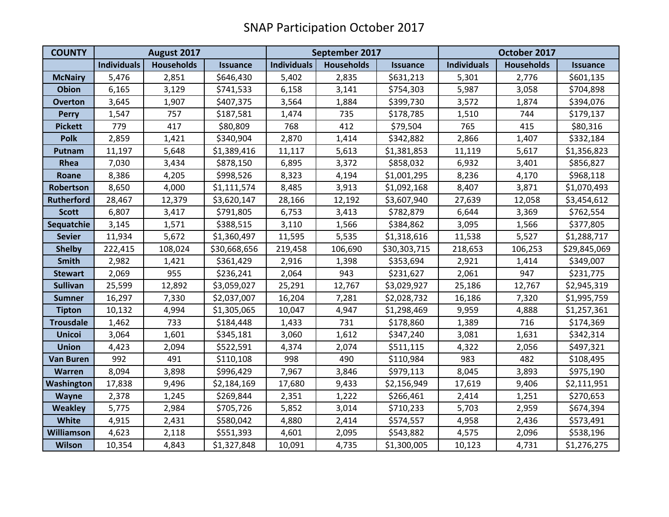| <b>COUNTY</b>     | August 2017        |                   |                 | September 2017     |                   |                 | October 2017       |                   |                 |
|-------------------|--------------------|-------------------|-----------------|--------------------|-------------------|-----------------|--------------------|-------------------|-----------------|
|                   | <b>Individuals</b> | <b>Households</b> | <b>Issuance</b> | <b>Individuals</b> | <b>Households</b> | <b>Issuance</b> | <b>Individuals</b> | <b>Households</b> | <b>Issuance</b> |
| <b>McNairy</b>    | 5,476              | 2,851             | \$646,430       | 5,402              | 2,835             | \$631,213       | 5,301              | 2,776             | \$601,135       |
| <b>Obion</b>      | 6,165              | 3,129             | \$741,533       | 6,158              | 3,141             | \$754,303       | 5,987              | 3,058             | \$704,898       |
| <b>Overton</b>    | 3,645              | 1,907             | \$407,375       | 3,564              | 1,884             | \$399,730       | 3,572              | 1,874             | \$394,076       |
| <b>Perry</b>      | 1,547              | 757               | \$187,581       | 1,474              | 735               | \$178,785       | 1,510              | 744               | \$179,137       |
| <b>Pickett</b>    | 779                | 417               | \$80,809        | 768                | 412               | \$79,504        | 765                | 415               | \$80,316        |
| <b>Polk</b>       | 2,859              | 1,421             | \$340,904       | 2,870              | 1,414             | \$342,882       | 2,866              | 1,407             | \$332,184       |
| Putnam            | 11,197             | 5,648             | \$1,389,416     | 11,117             | 5,613             | \$1,381,853     | 11,119             | 5,617             | \$1,356,823     |
| Rhea              | 7,030              | 3,434             | \$878,150       | 6,895              | 3,372             | \$858,032       | 6,932              | 3,401             | \$856,827       |
| Roane             | 8,386              | 4,205             | \$998,526       | 8,323              | 4,194             | \$1,001,295     | 8,236              | 4,170             | \$968,118       |
| Robertson         | 8,650              | 4,000             | \$1,111,574     | 8,485              | 3,913             | \$1,092,168     | 8,407              | 3,871             | \$1,070,493     |
| <b>Rutherford</b> | 28,467             | 12,379            | \$3,620,147     | 28,166             | 12,192            | \$3,607,940     | 27,639             | 12,058            | \$3,454,612     |
| <b>Scott</b>      | 6,807              | 3,417             | \$791,805       | 6,753              | 3,413             | \$782,879       | 6,644              | 3,369             | \$762,554       |
| Sequatchie        | 3,145              | 1,571             | \$388,515       | 3,110              | 1,566             | \$384,862       | 3,095              | 1,566             | \$377,805       |
| <b>Sevier</b>     | 11,934             | 5,672             | \$1,360,497     | 11,595             | 5,535             | \$1,318,616     | 11,538             | 5,527             | \$1,288,717     |
| <b>Shelby</b>     | 222,415            | 108,024           | \$30,668,656    | 219,458            | 106,690           | \$30,303,715    | 218,653            | 106,253           | \$29,845,069    |
| Smith             | 2,982              | 1,421             | \$361,429       | 2,916              | 1,398             | \$353,694       | 2,921              | 1,414             | \$349,007       |
| <b>Stewart</b>    | 2,069              | 955               | \$236,241       | 2,064              | 943               | \$231,627       | 2,061              | 947               | \$231,775       |
| <b>Sullivan</b>   | 25,599             | 12,892            | \$3,059,027     | 25,291             | 12,767            | \$3,029,927     | 25,186             | 12,767            | \$2,945,319     |
| <b>Sumner</b>     | 16,297             | 7,330             | \$2,037,007     | 16,204             | 7,281             | \$2,028,732     | 16,186             | 7,320             | \$1,995,759     |
| <b>Tipton</b>     | 10,132             | 4,994             | \$1,305,065     | 10,047             | 4,947             | \$1,298,469     | 9,959              | 4,888             | \$1,257,361     |
| <b>Trousdale</b>  | 1,462              | 733               | \$184,448       | 1,433              | 731               | \$178,860       | 1,389              | 716               | \$174,369       |
| <b>Unicoi</b>     | 3,064              | 1,601             | \$345,181       | 3,060              | 1,612             | \$347,240       | 3,081              | 1,631             | \$342,314       |
| <b>Union</b>      | 4,423              | 2,094             | \$522,591       | 4,374              | 2,074             | \$511,115       | 4,322              | 2,056             | \$497,321       |
| <b>Van Buren</b>  | 992                | 491               | \$110,108       | 998                | 490               | \$110,984       | 983                | 482               | \$108,495       |
| <b>Warren</b>     | 8,094              | 3,898             | \$996,429       | 7,967              | 3,846             | \$979,113       | 8,045              | 3,893             | \$975,190       |
| <b>Washington</b> | 17,838             | 9,496             | \$2,184,169     | 17,680             | 9,433             | \$2,156,949     | 17,619             | 9,406             | \$2,111,951     |
| <b>Wayne</b>      | 2,378              | 1,245             | \$269,844       | 2,351              | 1,222             | \$266,461       | 2,414              | 1,251             | \$270,653       |
| <b>Weakley</b>    | 5,775              | 2,984             | \$705,726       | 5,852              | 3,014             | \$710,233       | 5,703              | 2,959             | \$674,394       |
| White             | 4,915              | 2,431             | \$580,042       | 4,880              | 2,414             | \$574,557       | 4,958              | 2,436             | \$573,491       |
| Williamson        | 4,623              | 2,118             | \$551,393       | 4,601              | 2,095             | \$543,882       | 4,575              | 2,096             | \$538,196       |
| <b>Wilson</b>     | 10,354             | 4,843             | \$1,327,848     | 10,091             | 4,735             | \$1,300,005     | 10,123             | 4,731             | \$1,276,275     |